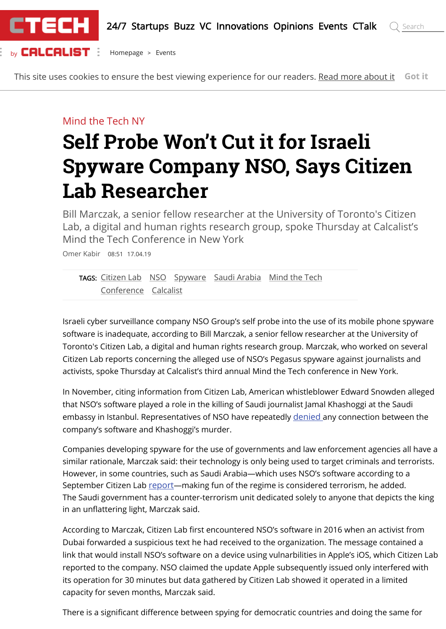

This site uses cookies to ensure the best viewing experience for our readers. [Read more about it](https://www.calcalistech.com/ctech/home/0,7340,L-5249,00.html) **Got it**

#### Mind the Tech NY

# **Self Probe Won't Cut it for Israeli Spyware Company NSO, Says Citizen Lab Researcher**

Bill Marczak, a senior fellow researcher at the University of Toronto's Citizen Lab, a digital and human rights research group, spoke Thursday at Calcalist's Mind the Tech Conference in New York

Omer Kabir 08:51 17.04.19

[TAGS:](https://www.calcalistech.com/ctech/home/0,7340,L-5492,00.html) [Citizen Lab](https://www.calcalistech.com/ctech/home/0,7340,L-5492-201798,00.html) [NSO](https://www.calcalistech.com/ctech/home/0,7340,L-5492-77009,00.html) [Spyware](https://www.calcalistech.com/ctech/home/0,7340,L-5492-192373,00.html) [Saudi Arabia](https://www.calcalistech.com/ctech/home/0,7340,L-5492-200511,00.html) [Mind the Tech](https://www.calcalistech.com/ctech/home/0,7340,L-5492-200572,00.html) [Conference](https://www.calcalistech.com/ctech/home/0,7340,L-5492-193247,00.html) [Calcalist](https://www.calcalistech.com/ctech/home/0,7340,L-5492-195173,00.html)

Israeli cyber surveillance company NSO Group's self probe into the use of its mobile phone spyware software is inadequate, according to Bill Marczak, a senior fellow researcher at the University of Toronto's Citizen Lab, a digital and human rights research group. Marczak, who worked on several Citizen Lab reports concerning the alleged use of NSO's Pegasus spyware against journalists and activists, spoke Thursday at Calcalist's third annual Mind the Tech conference in New York.

In November, citing information from Citizen Lab, American whistleblower Edward Snowden alleged that NSO's software played a role in the killing of Saudi journalist Jamal Khashoggi at the Saudi embassy in Istanbul. Representatives of NSO have repeatedly [denied](https://www.calcalistech.com/ctech/articles/0,7340,L-3754228,00.html) any connection between the company's software and Khashoggi's murder.

Companies developing spyware for the use of governments and law enforcement agencies all have a similar rationale, Marczak said: their technology is only being used to target criminals and terrorists. However, in some countries, such as Saudi Arabia—which uses NSO's software according to a September Citizen Lab [report](https://www.calcalistech.com/ctech/articles/0,7340,L-3746240,00.html)—making fun of the regime is considered terrorism, he added. The Saudi government has a counter-terrorism unit dedicated solely to anyone that depicts the king in an unflattering light, Marczak said.

According to Marczak, Citizen Lab first encountered NSO's software in 2016 when an activist from Dubai forwarded a suspicious text he had received to the organization. The message contained a link that would install NSO's software on a device using vulnarbilities in Apple's iOS, which Citizen Lab reported to the company. NSO claimed the update Apple subsequently issued only interfered with its operation for 30 minutes but data gathered by Citizen Lab showed it operated in a limited capacity for seven months, Marczak said.

There is a significant difference between spying for democratic countries and doing the same for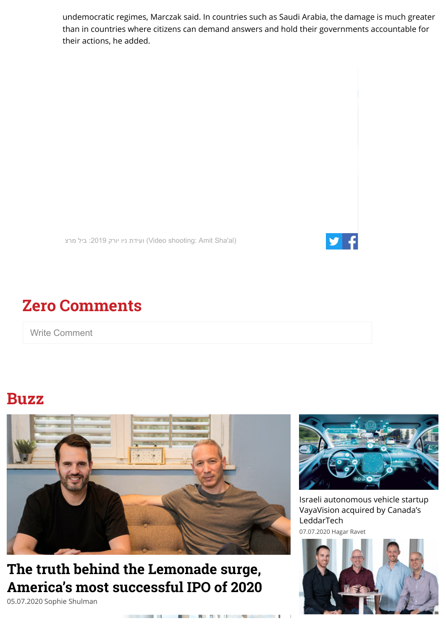undemocratic regimes, Marczak said. In countries such as Saudi Arabia, the damage is much greater than in countries where citizens can demand answers and hold their governments accountable for their actions, he added.

נעידת ניו יורק 2019: ביל מרצ (Video shooting: Amit Sha'al)



### **Zero Comments**

Write Comment

#### **Buzz**



## **The truth behind the Lemonade surge, [America's most successful IPO of 2020](https://www.calcalistech.com/ctech/articles/0,7340,L-3838000,00.html)**

05.07.2020 Sophie Shulman



[Israeli autonomous vehicle startup](https://www.calcalistech.com/ctech/articles/0,7340,L-3838371,00.html) VayaVision acquired by Canada's LeddarTech 07.07.2020 Hagar Ravet